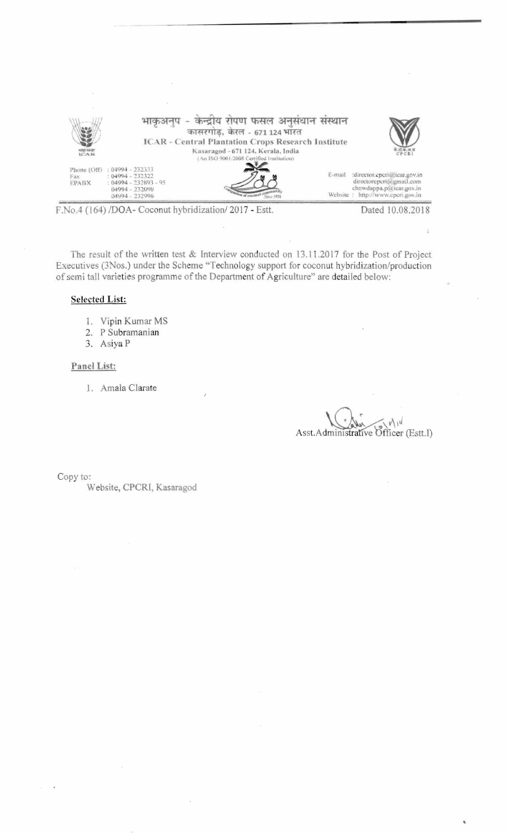

F.No.4 (164) /DOA- Coconut hybridization/2017 - Estt.

Dated 10.08,2018

Ĵ.

The result of the written test & Interview conducted on 13.11.2017 for the Post of Project Executives (3Nos.) under the Scheme "Technology support for coconut hybridization/production of semi tall varieties programme of the Department of Agriculture" are detailed below:

## **Selected List:**

- 1. Vipin Kumar MS
- 2. P Subramanian
- 3. Asiya P

## Panel List:

1. Amala Clarate

Asst. Administrative Officer (Estt. I)

Copy to:

Website, CPCRI, Kasaragod